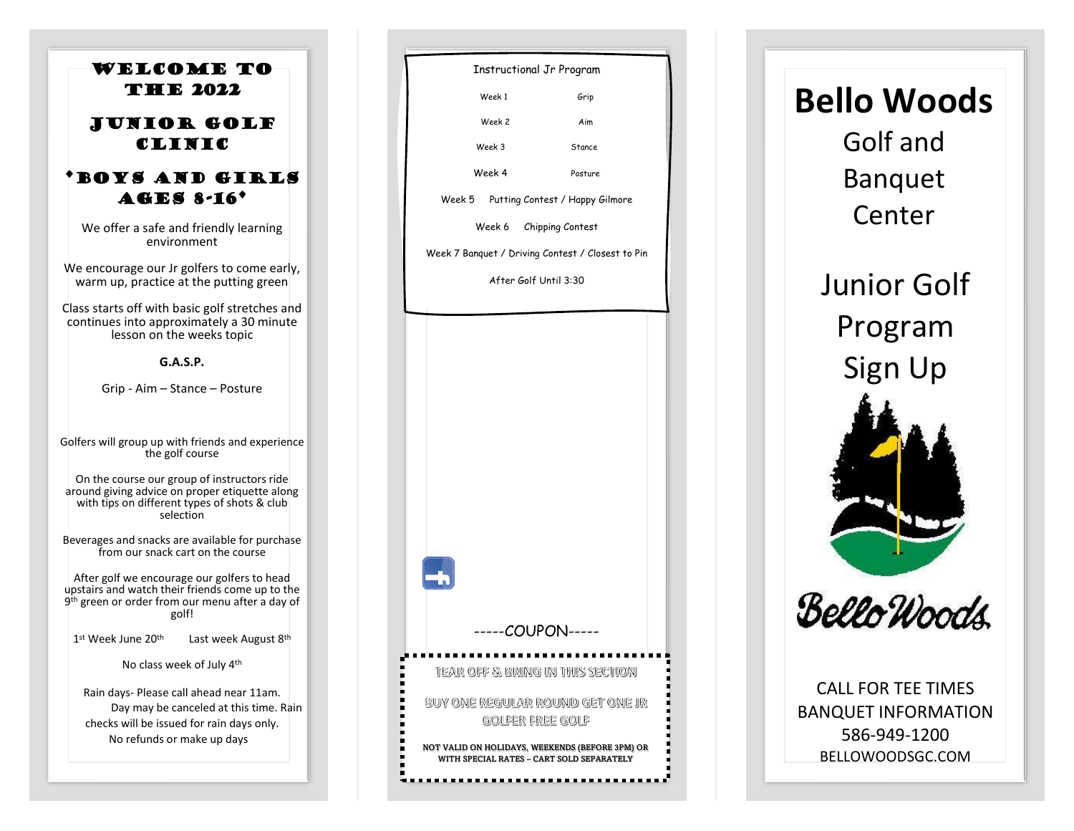

Instructional Jr Program Week 1 Grip Week 2 Aim Week 3 Stance Week 4 Posture Week 5 Putting Contest / Happy Gilmore Week 6 Chipping Contest Week 7 Banquet / Driving Contest / Closest to Pin After Golf Until 3:30-----COUPON-----TEAR OFF & BRING IN THIS SECTION BUY ONE REGULAR ROUND GET ONE JR **GOLFER FREE GOLF** NOT VALID ON HOLIDAYS, WEEKENDS (BEFORE 3PM) OR WITH SPECIAL RATES – CART SOLD SEPARATELY

## **Bello Woods** Golf and

Banquet Center

Junior Golf Program Sign Up





CALL FOR TEE TIMES BANQUET INFORMATION 586 -949 -1200 BELLOWOODSGC.COM